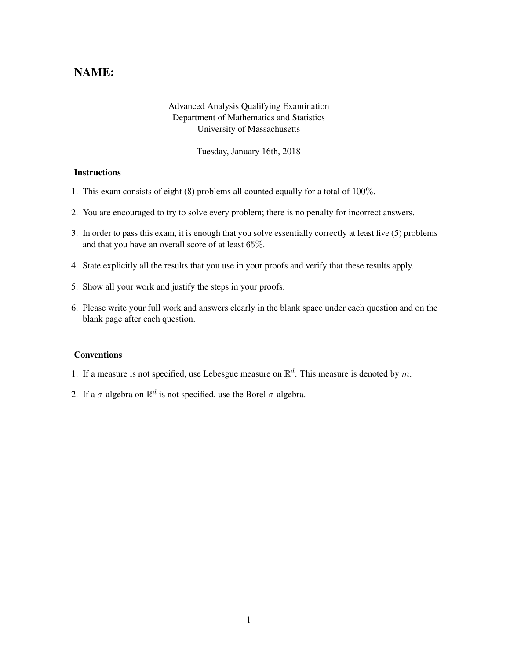## NAME:

## Advanced Analysis Qualifying Examination Department of Mathematics and Statistics University of Massachusetts

Tuesday, January 16th, 2018

## **Instructions**

- 1. This exam consists of eight (8) problems all counted equally for a total of 100%.
- 2. You are encouraged to try to solve every problem; there is no penalty for incorrect answers.
- 3. In order to pass this exam, it is enough that you solve essentially correctly at least five (5) problems and that you have an overall score of at least 65%.
- 4. State explicitly all the results that you use in your proofs and verify that these results apply.
- 5. Show all your work and justify the steps in your proofs.
- 6. Please write your full work and answers clearly in the blank space under each question and on the blank page after each question.

## **Conventions**

- 1. If a measure is not specified, use Lebesgue measure on  $\mathbb{R}^d$ . This measure is denoted by m.
- 2. If a  $\sigma$ -algebra on  $\mathbb{R}^d$  is not specified, use the Borel  $\sigma$ -algebra.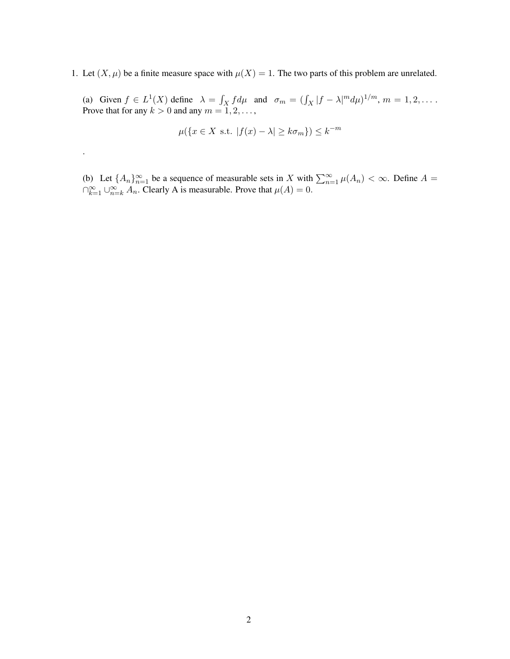1. Let  $(X, \mu)$  be a finite measure space with  $\mu(X) = 1$ . The two parts of this problem are unrelated.

(a) Given  $f \in L^1(X)$  define  $\lambda = \int_X f d\mu$  and  $\sigma_m = (\int_X |f - \lambda|^m d\mu)^{1/m}$ ,  $m = 1, 2, \dots$ . Prove that for any  $k > 0$  and any  $m = 1, 2, \dots$ ,

$$
\mu({x \in X \text{ s.t. } |f(x) - \lambda| \ge k\sigma_m}) \le k^{-m}
$$

.

(b) Let  $\{A_n\}_{n=1}^{\infty}$  be a sequence of measurable sets in X with  $\sum_{n=1}^{\infty} \mu(A_n) < \infty$ . Define  $A =$  $\bigcap_{k=1}^{\infty} \bigcup_{n=k}^{\infty} A_n$ . Clearly A is measurable. Prove that  $\mu(A) = 0$ .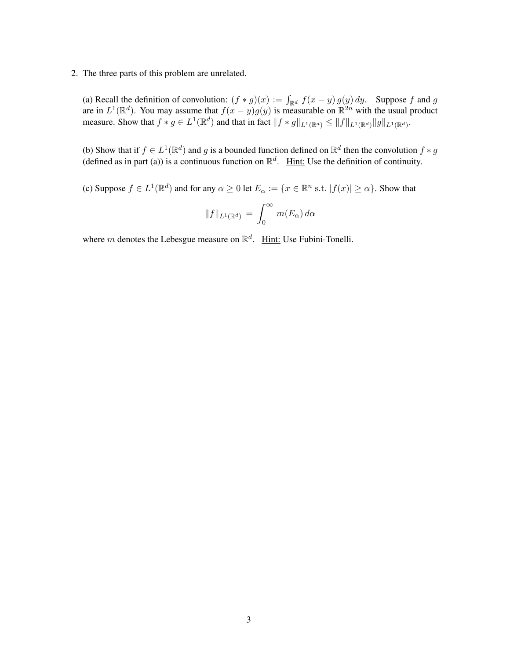2. The three parts of this problem are unrelated.

(a) Recall the definition of convolution:  $(f * g)(x) := \int_{\mathbb{R}^d} f(x - y) g(y) dy$ . Suppose f and g are in  $L^1(\mathbb{R}^d)$ . You may assume that  $f(x-y)g(y)$  is measurable on  $\mathbb{R}^{2n}$  with the usual product measure. Show that  $f * g \in L^1(\mathbb{R}^d)$  and that in fact  $||f * g||_{L^1(\mathbb{R}^d)} \le ||f||_{L^1(\mathbb{R}^d)} ||g||_{L^1(\mathbb{R}^d)}$ .

(b) Show that if  $f \in L^1(\mathbb{R}^d)$  and g is a bounded function defined on  $\mathbb{R}^d$  then the convolution  $f * g$ (defined as in part (a)) is a continuous function on  $\mathbb{R}^d$ . Hint: Use the definition of continuity.

(c) Suppose  $f \in L^1(\mathbb{R}^d)$  and for any  $\alpha \ge 0$  let  $E_\alpha := \{x \in \mathbb{R}^n \text{ s.t. } |f(x)| \ge \alpha\}$ . Show that

$$
||f||_{L^1(\mathbb{R}^d)} = \int_0^\infty m(E_\alpha) d\alpha
$$

where m denotes the Lebesgue measure on  $\mathbb{R}^d$ . Hint: Use Fubini-Tonelli.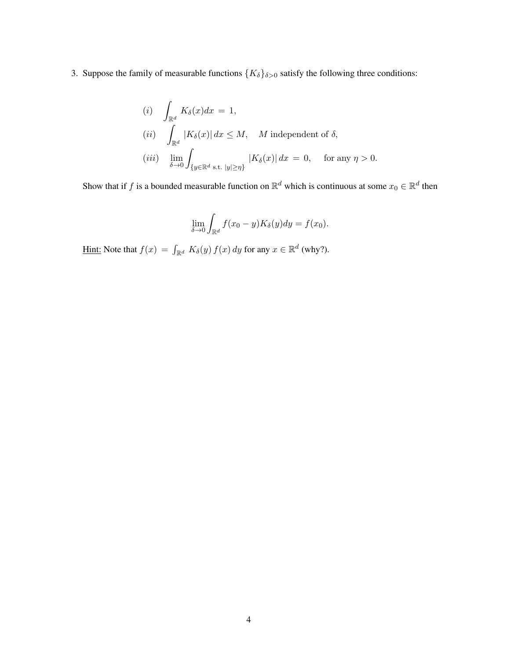3. Suppose the family of measurable functions  $\{K_{\delta}\}_{\delta>0}$  satisfy the following three conditions:

(i) 
$$
\int_{\mathbb{R}^d} K_{\delta}(x)dx = 1,
$$
  
\n(ii) 
$$
\int_{\mathbb{R}^d} |K_{\delta}(x)|dx \leq M, \quad M \text{ independent of } \delta,
$$
  
\n(iii) 
$$
\lim_{\delta \to 0} \int_{\{y \in \mathbb{R}^d \text{ s.t. } |y| \geq \eta\}} |K_{\delta}(x)|dx = 0, \quad \text{for any } \eta > 0.
$$

Show that if f is a bounded measurable function on  $\mathbb{R}^d$  which is continuous at some  $x_0 \in \mathbb{R}^d$  then

$$
\lim_{\delta \to 0} \int_{\mathbb{R}^d} f(x_0 - y) K_\delta(y) dy = f(x_0).
$$

<u>Hint:</u> Note that  $f(x) = \int_{\mathbb{R}^d} K_\delta(y) f(x) dy$  for any  $x \in \mathbb{R}^d$  (why?).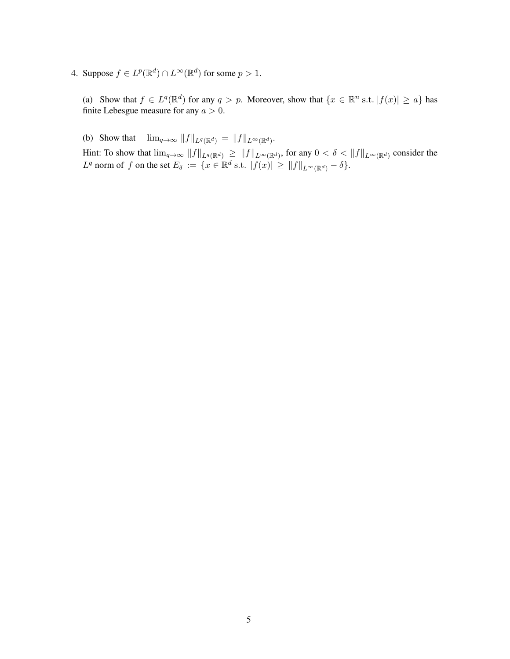4. Suppose  $f \in L^p(\mathbb{R}^d) \cap L^\infty(\mathbb{R}^d)$  for some  $p > 1$ .

(a) Show that  $f \in L^q(\mathbb{R}^d)$  for any  $q > p$ . Moreover, show that  $\{x \in \mathbb{R}^n$  s.t.  $|f(x)| \geq a\}$  has finite Lebesgue measure for any  $a > 0$ .

(b) Show that  $\lim_{q\to\infty} ||f||_{L^q(\mathbb{R}^d)} = ||f||_{L^{\infty}(\mathbb{R}^d)}$ . Hint: To show that  $\lim_{q\to\infty}||f||_{L^q(\mathbb{R}^d)} \geq ||f||_{L^{\infty}(\mathbb{R}^d)}$ , for any  $0 < \delta < ||f||_{L^{\infty}(\mathbb{R}^d)}$  consider the  $L^q$  norm of f on the set  $E_\delta := \{x \in \mathbb{R}^d \text{ s.t. } |f(x)| \geq ||f||_{L^\infty(\mathbb{R}^d)} - \delta\}.$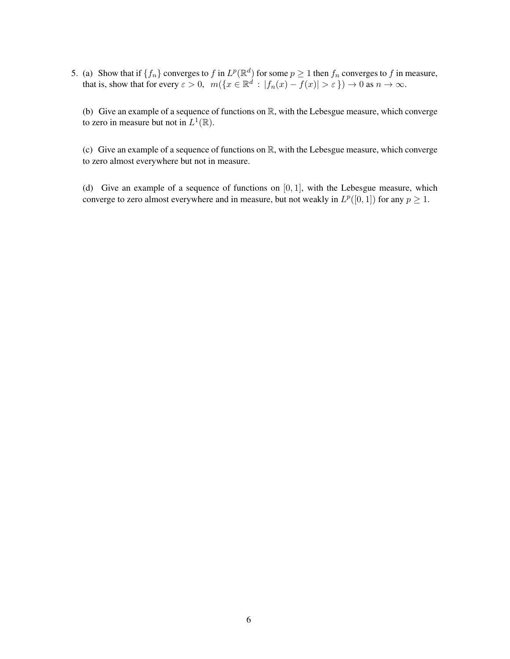5. (a) Show that if  $\{f_n\}$  converges to f in  $L^p(\mathbb{R}^d)$  for some  $p \ge 1$  then  $f_n$  converges to f in measure, that is, show that for every  $\varepsilon > 0$ ,  $m({x \in \mathbb{R}^d : |f_n(x) - f(x)| > \varepsilon}) \to 0$  as  $n \to \infty$ .

(b) Give an example of a sequence of functions on  $\mathbb{R}$ , with the Lebesgue measure, which converge to zero in measure but not in  $L^1(\mathbb{R})$ .

(c) Give an example of a sequence of functions on  $\mathbb{R}$ , with the Lebesgue measure, which converge to zero almost everywhere but not in measure.

(d) Give an example of a sequence of functions on  $[0, 1]$ , with the Lebesgue measure, which converge to zero almost everywhere and in measure, but not weakly in  $L^p([0, 1])$  for any  $p \geq 1$ .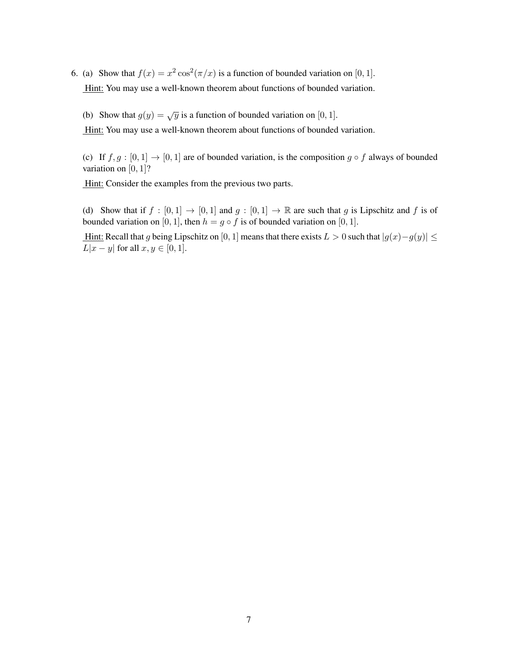6. (a) Show that  $f(x) = x^2 \cos^2(\pi/x)$  is a function of bounded variation on [0, 1]. Hint: You may use a well-known theorem about functions of bounded variation.

(b) Show that  $g(y) = \sqrt{y}$  is a function of bounded variation on [0, 1].

Hint: You may use a well-known theorem about functions of bounded variation.

(c) If  $f, g : [0, 1] \rightarrow [0, 1]$  are of bounded variation, is the composition  $g \circ f$  always of bounded variation on  $[0, 1]$ ?

Hint: Consider the examples from the previous two parts.

(d) Show that if  $f : [0,1] \to [0,1]$  and  $g : [0,1] \to \mathbb{R}$  are such that g is Lipschitz and f is of bounded variation on [0, 1], then  $h = g \circ f$  is of bounded variation on [0, 1].

Hint: Recall that g being Lipschitz on [0, 1] means that there exists  $L > 0$  such that  $|g(x)-g(y)| \le$  $L|x-y|$  for all  $x, y \in [0, 1]$ .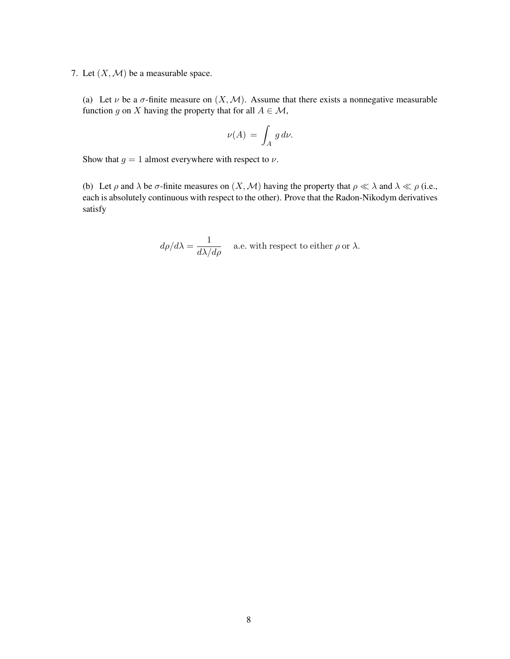7. Let  $(X, \mathcal{M})$  be a measurable space.

(a) Let  $\nu$  be a  $\sigma$ -finite measure on  $(X, \mathcal{M})$ . Assume that there exists a nonnegative measurable function g on X having the property that for all  $A \in \mathcal{M}$ ,

$$
\nu(A) = \int_A g \, d\nu.
$$

Show that  $g = 1$  almost everywhere with respect to  $\nu$ .

(b) Let  $\rho$  and  $\lambda$  be  $\sigma$ -finite measures on  $(X, \mathcal{M})$  having the property that  $\rho \ll \lambda$  and  $\lambda \ll \rho$  (i.e., each is absolutely continuous with respect to the other). Prove that the Radon-Nikodym derivatives satisfy

$$
d\rho/d\lambda = \frac{1}{d\lambda/d\rho}
$$
 a.e. with respect to either  $\rho$  or  $\lambda$ .